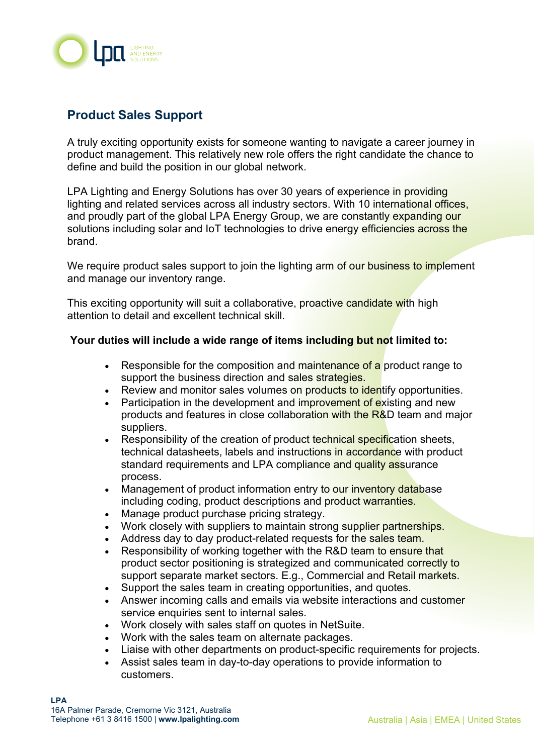

## **Product Sales Support**

A truly exciting opportunity exists for someone wanting to navigate a career journey in product management. This relatively new role offers the right candidate the chance to define and build the position in our global network.

LPA Lighting and Energy Solutions has over 30 years of experience in providing lighting and related services across all industry sectors. With 10 international offices, and proudly part of the global LPA Energy Group, we are constantly expanding our solutions including solar and IoT technologies to drive energy efficiencies across the brand.

We require product sales support to join the lighting arm of our business to implement and manage our inventory range.

This exciting opportunity will suit a collaborative, proactive candidate with high attention to detail and excellent technical skill.

## **Your duties will include a wide range of items including but not limited to:**

- Responsible for the composition and maintenance of a product range to support the business direction and sales strategies.
- Review and monitor sales volumes on products to identify opportunities.
- Participation in the development and improvement of existing and new products and features in close collaboration with the R&D team and major suppliers.
- Responsibility of the creation of product technical specification sheets, technical datasheets, labels and instructions in accordance with product standard requirements and LPA compliance and quality assurance process.
- Management of product information entry to our inventory database including coding, product descriptions and product warranties.
- Manage product purchase pricing strategy.
- Work closely with suppliers to maintain strong supplier partnerships.
- Address day to day product-related requests for the sales team.
- Responsibility of working together with the R&D team to ensure that product sector positioning is strategized and communicated correctly to support separate market sectors. E.g., Commercial and Retail markets.
- Support the sales team in creating opportunities, and quotes.
- Answer incoming calls and emails via website interactions and customer service enquiries sent to internal sales.
- Work closely with sales staff on quotes in NetSuite.
- Work with the sales team on alternate packages.
- Liaise with other departments on product-specific requirements for projects.
- Assist sales team in day-to-day operations to provide information to customers.